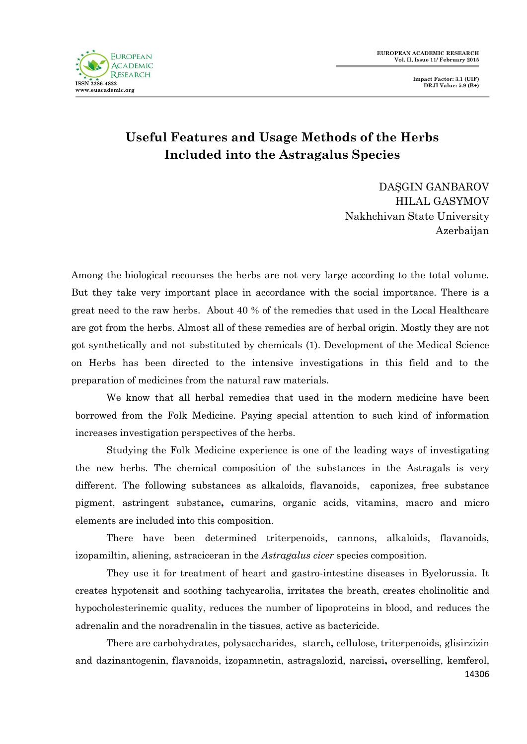**EUROPEAN ACADEMIC RESEARCH Vol. II, Issue 11/ February 2015**





## **Useful Features and Usage Methods of the Herbs Included into the Astragalus Species**

DAŞGIN GANBAROV HILAL GASYMOV Nakhchivan State University Azerbaijan

Among the biological recourses the herbs are not very large according to the total volume. But they take very important place in accordance with the social importance. There is a great need to the raw herbs. About 40 % of the remedies that used in the Local Healthcare are got from the herbs. Almost all of these remedies are of herbal origin. Mostly they are not got synthetically and not substituted by chemicals (1). Development of the Medical Science on Herbs has been directed to the intensive investigations in this field and to the preparation of medicines from the natural raw materials.

We know that all herbal remedies that used in the modern medicine have been borrowed from the Folk Medicine. Paying special attention to such kind of information increases investigation perspectives of the herbs.

Studying the Folk Medicine experience is one of the leading ways of investigating the new herbs. The chemical composition of the substances in the Astragals is very different. The following substances as alkaloids, flavanoids, caponizes, free substance pigment, astringent substance**,** cumarins, organic acids, vitamins, macro and micro elements are included into this composition.

There have been determined triterpenoids, cannons, alkaloids, flavanoids, izopamiltin, aliening, astraciceran in the *Astragalus cicer* species composition.

They use it for treatment of heart and gastro-intestine diseases in Byelorussia. It creates hypotensit and soothing tachycarolia, irritates the breath, creates cholinolitic and hypocholesterinemic quality, reduces the number of lipoproteins in blood, and reduces the adrenalin and the noradrenalin in the tissues, active as bactericide.

There are carbohydrates, polysaccharides,starch**,** cellulose, triterpenoids, glisirzizin and dazinantogenin, flavanoids, izopamnetin, astragalozid, narcissi**,** overselling, kemferol,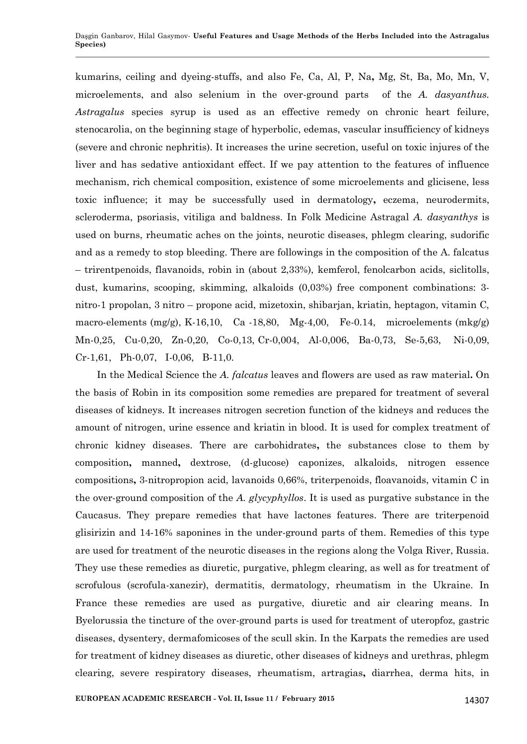kumarins, ceiling and dyeing-stuffs, and also Fe, Ca, Al, P, Na**,** Mg, St, Ba, Mo, Mn, V, microelements, and also selenium in the over-ground parts of the *A. dasyanthus. Astragalus* species syrup is used as an effective remedy on chronic heart feilure, stenocarolia, on the beginning stage of hyperbolic, edemas, vascular insufficiency of kidneys (severe and chronic nephritis). It increases the urine secretion, useful on toxic injures of the liver and has sedative antioxidant effect. If we pay attention to the features of influence mechanism, rich chemical composition, existence of some microelements and glicisene, less toxic influence; it may be successfully used in dermatology**,** eczema, neurodermits, scleroderma, psoriasis, vitiliga and baldness. In Folk Medicine Astragal *A. dasyanthys* is used on burns, rheumatic aches on the joints, neurotic diseases, phlegm clearing, sudorific and as a remedy to stop bleeding. There are followings in the composition of the A. falcatus – trirentpenoids, flavanoids, robin in (about 2,33%), kemferol, fenolcarbon acids, siclitolls, dust, kumarins, scooping, skimming, alkaloids (0,03%) free component combinations: 3 nitro-1 propolan, 3 nitro – propone acid, mizetoxin, shibarjan, kriatin, heptagon, vitamin C, macro-elements  $(mg/g)$ , K-16,10, Ca -18,80, Mg-4,00, Fe-0.14, microelements  $(mkg/g)$ Mn-0,25, Cu-0,20, Zn-0,20, Co-0,13, Cr-0,004, Al-0,006, Ba-0,73, Se-5,63, Ni-0,09, Cr-1,61, Ph-0,07, I-0,06, B-11,0.

 In the Medical Science the *A. falcatus* leaves and flowers are used as raw material**.** On the basis of Robin in its composition some remedies are prepared for treatment of several diseases of kidneys. It increases nitrogen secretion function of the kidneys and reduces the amount of nitrogen, urine essence and kriatin in blood. It is used for complex treatment of chronic kidney diseases. There are carbohidrates**,** the substances close to them by composition**,** manned**,** dextrose, (d-glucose) caponizes, alkaloids, nitrogen essence compositions**,** 3-nitropropion acid, lavanoids 0,66%, triterpenoids, floavanoids, vitamin C in the over-ground composition of the *A. glycyphyllos*. It is used as purgative substance in the Caucasus. They prepare remedies that have lactones features. There are triterpenoid glisirizin and 14-16% saponines in the under-ground parts of them. Remedies of this type are used for treatment of the neurotic diseases in the regions along the Volga River, Russia. They use these remedies as diuretic, purgative, phlegm clearing, as well as for treatment of scrofulous (scrofula-xanezir), dermatitis, dermatology, rheumatism in the Ukraine. In France these remedies are used as purgative, diuretic and air clearing means. In Byelorussia the tincture of the over-ground parts is used for treatment of uteropfoz, gastric diseases, dysentery, dermafomicoses of the scull skin. In the Karpats the remedies are used for treatment of kidney diseases as diuretic, other diseases of kidneys and urethras, phlegm clearing, severe respiratory diseases, rheumatism, artragias**,** diarrhea, derma hits, in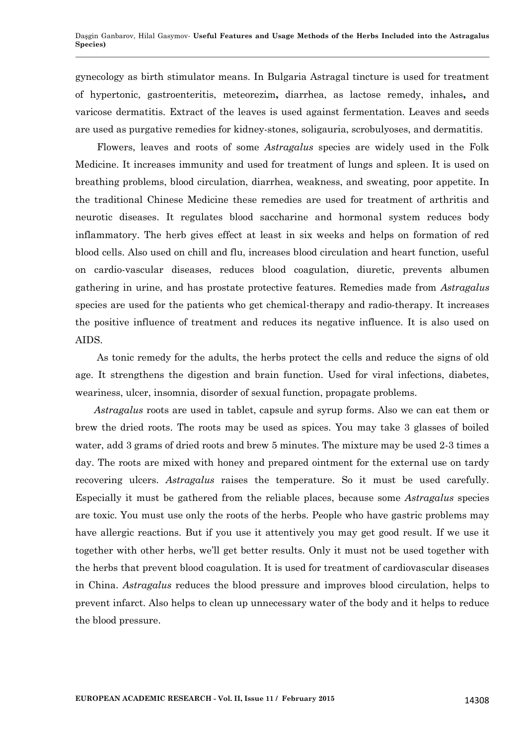gynecology as birth stimulator means. In Bulgaria Astragal tincture is used for treatment of hypertonic, gastroenteritis, meteorezim**,** diarrhea, as lactose remedy, inhales**,** and varicose dermatitis. Extract of the leaves is used against fermentation. Leaves and seeds are used as purgative remedies for kidney-stones, soligauria, scrobulyoses, and dermatitis.

 Flowers, leaves and roots of some *Astragalus* species are widely used in the Folk Medicine. It increases immunity and used for treatment of lungs and spleen. It is used on breathing problems, blood circulation, diarrhea, weakness, and sweating, poor appetite. In the traditional Chinese Medicine these remedies are used for treatment of arthritis and neurotic diseases. It regulates blood saccharine and hormonal system reduces body inflammatory. The herb gives effect at least in six weeks and helps on formation of red blood cells. Also used on chill and flu, increases blood circulation and heart function, useful on cardio-vascular diseases, reduces blood coagulation, diuretic, prevents albumen gathering in urine, and has prostate protective features. Remedies made from *Astragalus* species are used for the patients who get chemical-therapy and radio-therapy. It increases the positive influence of treatment and reduces its negative influence. It is also used on AIDS.

 As tonic remedy for the adults, the herbs protect the cells and reduce the signs of old age. It strengthens the digestion and brain function. Used for viral infections, diabetes, weariness, ulcer, insomnia, disorder of sexual function, propagate problems.

 *Astragalus* roots are used in tablet, capsule and syrup forms. Also we can eat them or brew the dried roots. The roots may be used as spices. You may take 3 glasses of boiled water, add 3 grams of dried roots and brew 5 minutes. The mixture may be used 2-3 times a day. The roots are mixed with honey and prepared ointment for the external use on tardy recovering ulcers. *Astragalus* raises the temperature. So it must be used carefully. Especially it must be gathered from the reliable places, because some *Astragalus* species are toxic. You must use only the roots of the herbs. People who have gastric problems may have allergic reactions. But if you use it attentively you may get good result. If we use it together with other herbs, we'll get better results. Only it must not be used together with the herbs that prevent blood coagulation. It is used for treatment of cardiovascular diseases in China. *Astragalus* reduces the blood pressure and improves blood circulation, helps to prevent infarct. Also helps to clean up unnecessary water of the body and it helps to reduce the blood pressure.